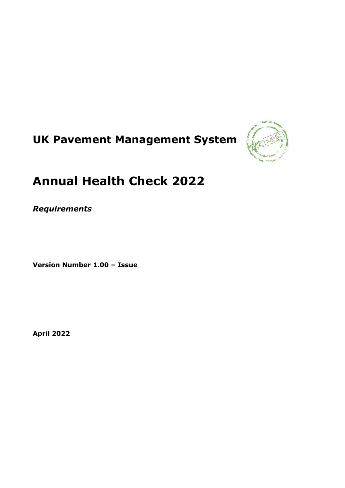# **UK Pavement Management System**



# **Annual Health Check 2022**

*Requirements*

**Version Number 1.00 – Issue**

**April 2022**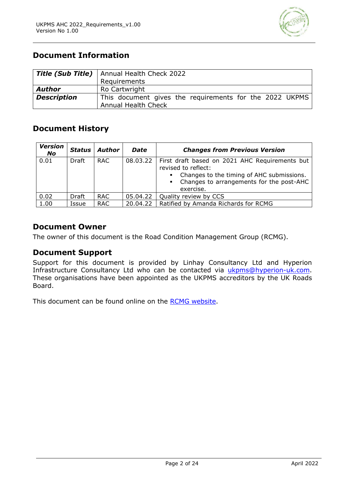

# **Document Information**

|                    | <b>Title (Sub Title)</b>   Annual Health Check 2022                            |
|--------------------|--------------------------------------------------------------------------------|
|                    | Requirements                                                                   |
| Author             | Ro Cartwright                                                                  |
| <b>Description</b> | This document gives the requirements for the 2022 UKPMS<br>Annual Health Check |

# **Document History**

| <b>Version</b><br>No | <b>Status</b> | <b>Author</b> | <b>Date</b> | <b>Changes from Previous Version</b>                                                                                                                                                        |
|----------------------|---------------|---------------|-------------|---------------------------------------------------------------------------------------------------------------------------------------------------------------------------------------------|
| 0.01                 | Draft         | RAC.          | 08.03.22    | First draft based on 2021 AHC Requirements but<br>revised to reflect:<br>Changes to the timing of AHC submissions.<br>Changes to arrangements for the post-AHC<br>$\mathbf{r}$<br>exercise. |
| 0.02                 | <b>Draft</b>  | <b>RAC</b>    | 05.04.22    | Quality review by CCS                                                                                                                                                                       |
| 1.00                 | Issue         | <b>RAC</b>    | 20.04.22    | Ratified by Amanda Richards for RCMG                                                                                                                                                        |

# **Document Owner**

The owner of this document is the Road Condition Management Group (RCMG).

# **Document Support**

Support for this document is provided by Linhay Consultancy Ltd and Hyperion Infrastructure Consultancy Ltd who can be contacted via [ukpms@hyperion-uk.com.](mailto:ukpms@hyperion-uk.com) These organisations have been appointed as the UKPMS accreditors by the UK Roads Board.

This document can be found online on the [RCMG website.](https://ukrlg.ciht.org.uk/ukrlg-home/guidance/road-condition-information/data-management/uk-pavement-management-system-ukpms/)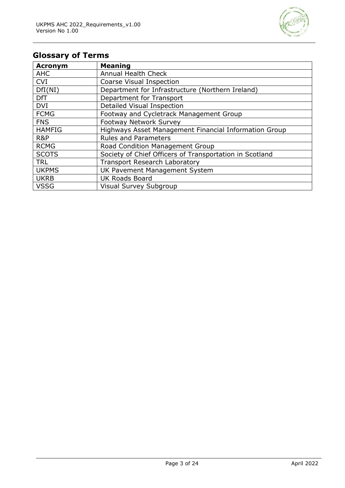

# **Glossary of Terms**

| <b>Acronym</b> | <b>Meaning</b>                                          |
|----------------|---------------------------------------------------------|
| <b>AHC</b>     | <b>Annual Health Check</b>                              |
| <b>CVI</b>     | Coarse Visual Inspection                                |
| DfI(NI)        | Department for Infrastructure (Northern Ireland)        |
| <b>DfT</b>     | Department for Transport                                |
| <b>DVI</b>     | Detailed Visual Inspection                              |
| <b>FCMG</b>    | Footway and Cycletrack Management Group                 |
| <b>FNS</b>     | <b>Footway Network Survey</b>                           |
| <b>HAMFIG</b>  | Highways Asset Management Financial Information Group   |
| R&P            | <b>Rules and Parameters</b>                             |
| <b>RCMG</b>    | Road Condition Management Group                         |
| <b>SCOTS</b>   | Society of Chief Officers of Transportation in Scotland |
| <b>TRL</b>     | <b>Transport Research Laboratory</b>                    |
| <b>UKPMS</b>   | UK Pavement Management System                           |
| <b>UKRB</b>    | <b>UK Roads Board</b>                                   |
| <b>VSSG</b>    | Visual Survey Subgroup                                  |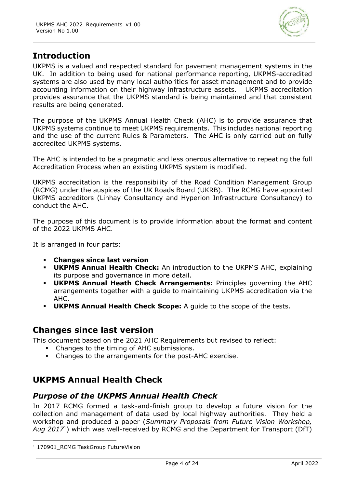

# **Introduction**

UKPMS is a valued and respected standard for pavement management systems in the UK. In addition to being used for national performance reporting, UKPMS-accredited systems are also used by many local authorities for asset management and to provide accounting information on their highway infrastructure assets. UKPMS accreditation provides assurance that the UKPMS standard is being maintained and that consistent results are being generated.

The purpose of the UKPMS Annual Health Check (AHC) is to provide assurance that UKPMS systems continue to meet UKPMS requirements. This includes national reporting and the use of the current Rules & Parameters. The AHC is only carried out on fully accredited UKPMS systems.

The AHC is intended to be a pragmatic and less onerous alternative to repeating the full Accreditation Process when an existing UKPMS system is modified.

UKPMS accreditation is the responsibility of the Road Condition Management Group (RCMG) under the auspices of the UK Roads Board (UKRB). The RCMG have appointed UKPMS accreditors (Linhay Consultancy and Hyperion Infrastructure Consultancy) to conduct the AHC.

The purpose of this document is to provide information about the format and content of the 2022 UKPMS AHC.

It is arranged in four parts:

- **Changes since last version**
- **UKPMS Annual Health Check:** An introduction to the UKPMS AHC, explaining its purpose and governance in more detail.
- **UKPMS Annual Heath Check Arrangements:** Principles governing the AHC arrangements together with a guide to maintaining UKPMS accreditation via the AHC.
- **UKPMS Annual Health Check Scope:** A guide to the scope of the tests.

# **Changes since last version**

This document based on the 2021 AHC Requirements but revised to reflect:

- Changes to the timing of AHC submissions.
- Changes to the arrangements for the post-AHC exercise.

# **UKPMS Annual Health Check**

# *Purpose of the UKPMS Annual Health Check*

In 2017 RCMG formed a task-and-finish group to develop a future vision for the collection and management of data used by local highway authorities. They held a workshop and produced a paper (*Summary Proposals from Future Vision Workshop, Aug 2017*<sup>1</sup> ) which was well-received by RCMG and the Department for Transport (DfT)

<sup>&</sup>lt;sup>1</sup> 170901 RCMG TaskGroup FutureVision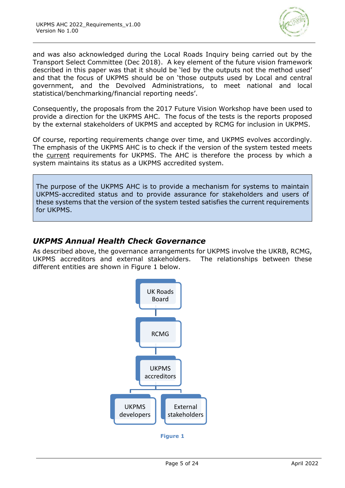

and was also acknowledged during the Local Roads Inquiry being carried out by the Transport Select Committee (Dec 2018). A key element of the future vision framework described in this paper was that it should be 'led by the outputs not the method used' and that the focus of UKPMS should be on 'those outputs used by Local and central government, and the Devolved Administrations, to meet national and local statistical/benchmarking/financial reporting needs'.

Consequently, the proposals from the 2017 Future Vision Workshop have been used to provide a direction for the UKPMS AHC. The focus of the tests is the reports proposed by the external stakeholders of UKPMS and accepted by RCMG for inclusion in UKPMS.

Of course, reporting requirements change over time, and UKPMS evolves accordingly. The emphasis of the UKPMS AHC is to check if the version of the system tested meets the current requirements for UKPMS. The AHC is therefore the process by which a system maintains its status as a UKPMS accredited system.

The purpose of the UKPMS AHC is to provide a mechanism for systems to maintain UKPMS-accredited status and to provide assurance for stakeholders and users of these systems that the version of the system tested satisfies the current requirements for UKPMS.

# *UKPMS Annual Health Check Governance*

As described above, the governance arrangements for UKPMS involve the UKRB, RCMG, UKPMS accreditors and external stakeholders. The relationships between these different entities are shown in [Figure 1](#page-4-0) below.

<span id="page-4-0"></span>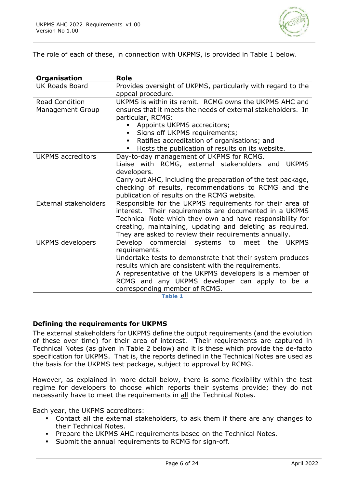

The role of each of these, in connection with UKPMS, is provided in [Table 1](#page-5-0) below.

| <b>Role</b>                                                                                                        |  |  |
|--------------------------------------------------------------------------------------------------------------------|--|--|
| Provides oversight of UKPMS, particularly with regard to the                                                       |  |  |
| appeal procedure.                                                                                                  |  |  |
| UKPMS is within its remit. RCMG owns the UKPMS AHC and                                                             |  |  |
| ensures that it meets the needs of external stakeholders. In                                                       |  |  |
| particular, RCMG:                                                                                                  |  |  |
| Appoints UKPMS accreditors;                                                                                        |  |  |
| Signs off UKPMS requirements;                                                                                      |  |  |
| Ratifies accreditation of organisations; and                                                                       |  |  |
| Hosts the publication of results on its website.<br>$\blacksquare$                                                 |  |  |
| Day-to-day management of UKPMS for RCMG.                                                                           |  |  |
| Liaise with RCMG, external stakeholders and<br><b>UKPMS</b>                                                        |  |  |
| developers.                                                                                                        |  |  |
| Carry out AHC, including the preparation of the test package,                                                      |  |  |
| checking of results, recommendations to RCMG and the                                                               |  |  |
| publication of results on the RCMG website.                                                                        |  |  |
| Responsible for the UKPMS requirements for their area of                                                           |  |  |
| interest. Their requirements are documented in a UKPMS                                                             |  |  |
| Technical Note which they own and have responsibility for                                                          |  |  |
| creating, maintaining, updating and deleting as required.                                                          |  |  |
| They are asked to review their requirements annually.<br>Develop commercial systems to meet<br>the<br><b>UKPMS</b> |  |  |
| requirements.                                                                                                      |  |  |
| Undertake tests to demonstrate that their system produces                                                          |  |  |
| results which are consistent with the requirements.                                                                |  |  |
| A representative of the UKPMS developers is a member of                                                            |  |  |
| RCMG and any UKPMS developer can apply to be a                                                                     |  |  |
| corresponding member of RCMG.                                                                                      |  |  |
|                                                                                                                    |  |  |

**Table 1**

#### <span id="page-5-0"></span>**Defining the requirements for UKPMS**

The external stakeholders for UKPMS define the output requirements (and the evolution of these over time) for their area of interest. Their requirements are captured in Technical Notes (as given in [Table 2](#page-6-0) below) and it is these which provide the de-facto specification for UKPMS. That is, the reports defined in the Technical Notes are used as the basis for the UKPMS test package, subject to approval by RCMG.

However, as explained in more detail below, there is some flexibility within the test regime for developers to choose which reports their systems provide; they do not necessarily have to meet the requirements in all the Technical Notes.

Each year, the UKPMS accreditors:

- Contact all the external stakeholders, to ask them if there are any changes to their Technical Notes.
- **Prepare the UKPMS AHC requirements based on the Technical Notes.**
- Submit the annual requirements to RCMG for sign-off.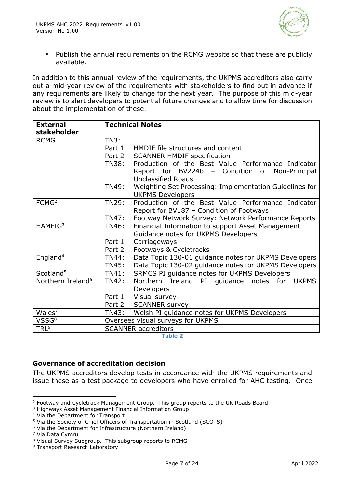

▪ Publish the annual requirements on the RCMG website so that these are publicly available.

In addition to this annual review of the requirements, the UKPMS accreditors also carry out a mid-year review of the requirements with stakeholders to find out in advance if any requirements are likely to change for the next year. The purpose of this mid-year review is to alert developers to potential future changes and to allow time for discussion about the implementation of these.

| <b>External</b><br>stakeholder | <b>Technical Notes</b>            |                                                                           |  |
|--------------------------------|-----------------------------------|---------------------------------------------------------------------------|--|
| <b>RCMG</b>                    | TN3:                              |                                                                           |  |
|                                | Part 1                            | HMDIF file structures and content                                         |  |
|                                | Part 2                            | <b>SCANNER HMDIF specification</b>                                        |  |
|                                | <b>TN38:</b>                      | Production of the Best Value Performance Indicator                        |  |
|                                |                                   | Report for BV224b –<br>Condition of<br>Non-Principal                      |  |
|                                |                                   | <b>Unclassified Roads</b>                                                 |  |
|                                | <b>TN49:</b>                      | Weighting Set Processing: Implementation Guidelines for                   |  |
|                                |                                   | <b>UKPMS Developers</b>                                                   |  |
| FCMG <sup>2</sup>              | <b>TN29:</b>                      | Production of the Best Value Performance Indicator                        |  |
|                                |                                   | Report for BV187 - Condition of Footways                                  |  |
|                                | TN47:                             | Footway Network Survey: Network Performance Reports                       |  |
| HAMFIG <sup>3</sup>            | TN46:                             | Financial Information to support Asset Management                         |  |
|                                |                                   | Guidance notes for UKPMS Developers                                       |  |
|                                | Part 1                            | Carriageways                                                              |  |
|                                | Part 2                            | Footways & Cycletracks                                                    |  |
| England <sup>4</sup>           | TN44:                             | Data Topic 130-01 guidance notes for UKPMS Developers                     |  |
|                                | <b>TN45:</b>                      | Data Topic 130-02 guidance notes for UKPMS Developers                     |  |
| Scotland <sup>5</sup>          | TN41:                             | SRMCS PI guidance notes for UKPMS Developers                              |  |
| Northern Ireland <sup>6</sup>  | <b>TN42:</b>                      | <b>Northern</b><br>Ireland<br>PI<br>for<br>quidance notes<br><b>UKPMS</b> |  |
|                                |                                   | Developers                                                                |  |
|                                | Part 1                            | Visual survey                                                             |  |
|                                | Part 2                            | <b>SCANNER survey</b>                                                     |  |
| Wales <sup>7</sup>             | TN43:                             | Welsh PI guidance notes for UKPMS Developers                              |  |
| VSSG <sup>8</sup>              | Oversees visual surveys for UKPMS |                                                                           |  |
| TRL <sup>9</sup>               | <b>SCANNER accreditors</b>        |                                                                           |  |

**Table 2**

#### <span id="page-6-0"></span>**Governance of accreditation decision**

The UKPMS accreditors develop tests in accordance with the UKPMS requirements and issue these as a test package to developers who have enrolled for AHC testing. Once

<sup>2</sup> Footway and Cycletrack Management Group. This group reports to the UK Roads Board

<sup>3</sup> Highways Asset Management Financial Information Group

<sup>4</sup> Via the Department for Transport

<sup>5</sup> Via the Society of Chief Officers of Transportation in Scotland (SCOTS)

 $6$  Via the Department for Infrastructure (Northern Ireland)

<sup>7</sup> Via Data Cymru

<sup>8</sup> Visual Survey Subgroup. This subgroup reports to RCMG

<sup>9</sup> Transport Research Laboratory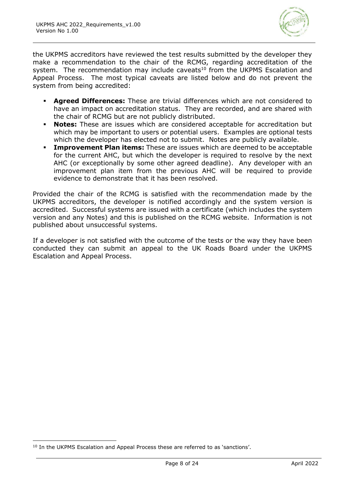

the UKPMS accreditors have reviewed the test results submitted by the developer they make a recommendation to the chair of the RCMG, regarding accreditation of the system. The recommendation may include caveats<sup>10</sup> from the UKPMS Escalation and Appeal Process. The most typical caveats are listed below and do not prevent the system from being accredited:

- **Agreed Differences:** These are trivial differences which are not considered to have an impact on accreditation status. They are recorded, and are shared with the chair of RCMG but are not publicly distributed.
- **Notes:** These are issues which are considered acceptable for accreditation but which may be important to users or potential users. Examples are optional tests which the developer has elected not to submit. Notes are publicly available.
- **Improvement Plan items:** These are issues which are deemed to be acceptable for the current AHC, but which the developer is required to resolve by the next AHC (or exceptionally by some other agreed deadline). Any developer with an improvement plan item from the previous AHC will be required to provide evidence to demonstrate that it has been resolved.

Provided the chair of the RCMG is satisfied with the recommendation made by the UKPMS accreditors, the developer is notified accordingly and the system version is accredited. Successful systems are issued with a certificate (which includes the system version and any Notes) and this is published on the RCMG website. Information is not published about unsuccessful systems.

If a developer is not satisfied with the outcome of the tests or the way they have been conducted they can submit an appeal to the UK Roads Board under the UKPMS Escalation and Appeal Process.

<sup>&</sup>lt;sup>10</sup> In the UKPMS Escalation and Appeal Process these are referred to as 'sanctions'.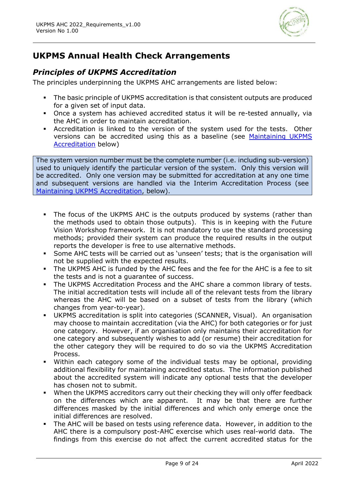

# **UKPMS Annual Health Check Arrangements**

# *Principles of UKPMS Accreditation*

The principles underpinning the UKPMS AHC arrangements are listed below:

- **•** The basic principle of UKPMS accreditation is that consistent outputs are produced for a given set of input data.
- Once a system has achieved accredited status it will be re-tested annually, via the AHC in order to maintain accreditation.
- Accreditation is linked to the version of the system used for the tests. Other versions can be accredited using this as a baseline (see [Maintaining UKPMS](#page-9-0)  [Accreditation](#page-9-0) below)

The system version number must be the complete number (i.e. including sub-version) used to uniquely identify the particular version of the system. Only this version will be accredited. Only one version may be submitted for accreditation at any one time and subsequent versions are handled via the Interim Accreditation Process (see [Maintaining UKPMS Accreditation,](#page-9-0) below).

- The focus of the UKPMS AHC is the outputs produced by systems (rather than the methods used to obtain those outputs). This is in keeping with the Future Vision Workshop framework. It is not mandatory to use the standard processing methods; provided their system can produce the required results in the output reports the developer is free to use alternative methods.
- Some AHC tests will be carried out as 'unseen' tests; that is the organisation will not be supplied with the expected results.
- The UKPMS AHC is funded by the AHC fees and the fee for the AHC is a fee to sit the tests and is not a guarantee of success.
- The UKPMS Accreditation Process and the AHC share a common library of tests. The initial accreditation tests will include all of the relevant tests from the library whereas the AHC will be based on a subset of tests from the library (which changes from year-to-year).
- UKPMS accreditation is split into categories (SCANNER, Visual). An organisation may choose to maintain accreditation (via the AHC) for both categories or for just one category. However, if an organisation only maintains their accreditation for one category and subsequently wishes to add (or resume) their accreditation for the other category they will be required to do so via the UKPMS Accreditation Process.
- Within each category some of the individual tests may be optional, providing additional flexibility for maintaining accredited status. The information published about the accredited system will indicate any optional tests that the developer has chosen not to submit.
- When the UKPMS accreditors carry out their checking they will only offer feedback on the differences which are apparent. It may be that there are further differences masked by the initial differences and which only emerge once the initial differences are resolved.
- The AHC will be based on tests using reference data. However, in addition to the AHC there is a compulsory post-AHC exercise which uses real-world data. The findings from this exercise do not affect the current accredited status for the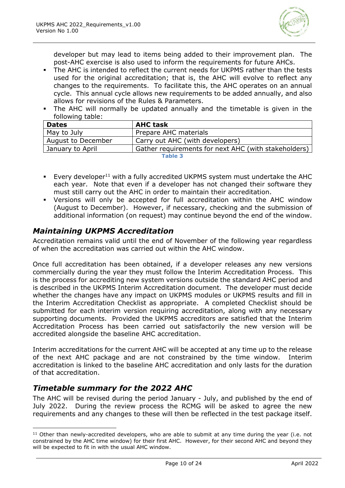

developer but may lead to items being added to their improvement plan. The post-AHC exercise is also used to inform the requirements for future AHCs.

- The AHC is intended to reflect the current needs for UKPMS rather than the tests used for the original accreditation; that is, the AHC will evolve to reflect any changes to the requirements. To facilitate this, the AHC operates on an annual cycle. This annual cycle allows new requirements to be added annually, and also allows for revisions of the Rules & Parameters.
- The AHC will normally be updated annually and the timetable is given in the following table:

| <b>Dates</b>       | <b>AHC task</b>                                      |
|--------------------|------------------------------------------------------|
| May to July        | Prepare AHC materials                                |
| August to December | Carry out AHC (with developers)                      |
| January to April   | Gather requirements for next AHC (with stakeholders) |
| Table 3            |                                                      |

- **Every developer**<sup>11</sup> with a fully accredited UKPMS system must undertake the AHC each year. Note that even if a developer has not changed their software they must still carry out the AHC in order to maintain their accreditation.
- Versions will only be accepted for full accreditation within the AHC window (August to December). However, if necessary, checking and the submission of additional information (on request) may continue beyond the end of the window.

# <span id="page-9-0"></span>*Maintaining UKPMS Accreditation*

Accreditation remains valid until the end of November of the following year regardless of when the accreditation was carried out within the AHC window.

Once full accreditation has been obtained, if a developer releases any new versions commercially during the year they must follow the Interim Accreditation Process. This is the process for accrediting new system versions outside the standard AHC period and is described in the UKPMS Interim Accreditation document. The developer must decide whether the changes have any impact on UKPMS modules or UKPMS results and fill in the Interim Accreditation Checklist as appropriate. A completed Checklist should be submitted for each interim version requiring accreditation, along with any necessary supporting documents. Provided the UKPMS accreditors are satisfied that the Interim Accreditation Process has been carried out satisfactorily the new version will be accredited alongside the baseline AHC accreditation.

Interim accreditations for the current AHC will be accepted at any time up to the release of the next AHC package and are not constrained by the time window. Interim accreditation is linked to the baseline AHC accreditation and only lasts for the duration of that accreditation.

# *Timetable summary for the 2022 AHC*

The AHC will be revised during the period January - July, and published by the end of July 2022. During the review process the RCMG will be asked to agree the new requirements and any changes to these will then be reflected in the test package itself.

 $11$  Other than newly-accredited developers, who are able to submit at any time during the year (i.e. not constrained by the AHC time window) for their first AHC. However, for their second AHC and beyond they will be expected to fit in with the usual AHC window.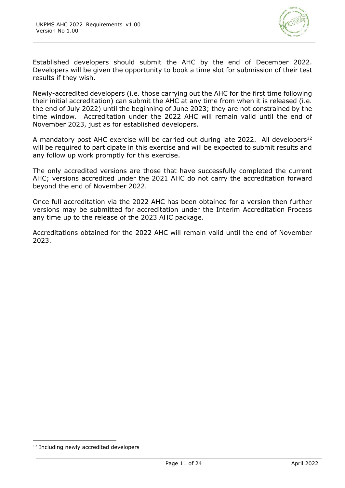

Established developers should submit the AHC by the end of December 2022. Developers will be given the opportunity to book a time slot for submission of their test results if they wish.

Newly-accredited developers (i.e. those carrying out the AHC for the first time following their initial accreditation) can submit the AHC at any time from when it is released (i.e. the end of July 2022) until the beginning of June 2023; they are not constrained by the time window. Accreditation under the 2022 AHC will remain valid until the end of November 2023, just as for established developers.

A mandatory post AHC exercise will be carried out during late 2022. All developers<sup>12</sup> will be required to participate in this exercise and will be expected to submit results and any follow up work promptly for this exercise.

The only accredited versions are those that have successfully completed the current AHC; versions accredited under the 2021 AHC do not carry the accreditation forward beyond the end of November 2022.

Once full accreditation via the 2022 AHC has been obtained for a version then further versions may be submitted for accreditation under the Interim Accreditation Process any time up to the release of the 2023 AHC package.

Accreditations obtained for the 2022 AHC will remain valid until the end of November 2023.

<sup>&</sup>lt;sup>12</sup> Including newly accredited developers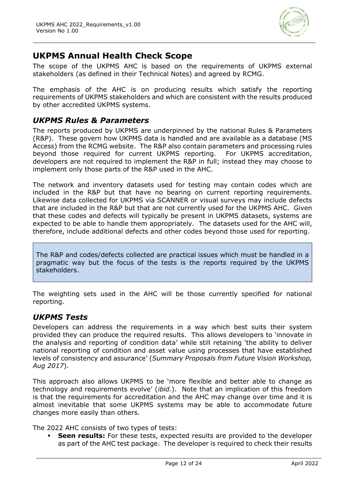

# **UKPMS Annual Health Check Scope**

The scope of the UKPMS AHC is based on the requirements of UKPMS external stakeholders (as defined in their Technical Notes) and agreed by RCMG.

The emphasis of the AHC is on producing results which satisfy the reporting requirements of UKPMS stakeholders and which are consistent with the results produced by other accredited UKPMS systems.

### *UKPMS Rules & Parameters*

The reports produced by UKPMS are underpinned by the national Rules & Parameters (R&P). These govern how UKPMS data is handled and are available as a database (MS Access) from the RCMG website. The R&P also contain parameters and processing rules beyond those required for current UKPMS reporting. For UKPMS accreditation, developers are not required to implement the R&P in full; instead they may choose to implement only those parts of the R&P used in the AHC.

The network and inventory datasets used for testing may contain codes which are included in the R&P but that have no bearing on current reporting requirements. Likewise data collected for UKPMS via SCANNER or visual surveys may include defects that are included in the R&P but that are not currently used for the UKPMS AHC. Given that these codes and defects will typically be present in UKPMS datasets, systems are expected to be able to handle them appropriately. The datasets used for the AHC will, therefore, include additional defects and other codes beyond those used for reporting.

The R&P and codes/defects collected are practical issues which must be handled in a pragmatic way but the focus of the tests is the reports required by the UKPMS stakeholders.

The weighting sets used in the AHC will be those currently specified for national reporting.

### *UKPMS Tests*

Developers can address the requirements in a way which best suits their system provided they can produce the required results. This allows developers to 'innovate in the analysis and reporting of condition data' while still retaining 'the ability to deliver national reporting of condition and asset value using processes that have established levels of consistency and assurance' (*Summary Proposals from Future Vision Workshop, Aug 2017*).

This approach also allows UKPMS to be 'more flexible and better able to change as technology and requirements evolve' (*ibid.*). Note that an implication of this freedom is that the requirements for accreditation and the AHC may change over time and it is almost inevitable that some UKPMS systems may be able to accommodate future changes more easily than others.

The 2022 AHC consists of two types of tests:

**Seen results:** For these tests, expected results are provided to the developer as part of the AHC test package. The developer is required to check their results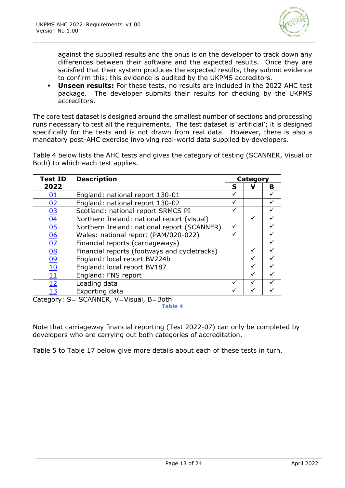

against the supplied results and the onus is on the developer to track down any differences between their software and the expected results. Once they are satisfied that their system produces the expected results, they submit evidence to confirm this; this evidence is audited by the UKPMS accreditors.

▪ **Unseen results:** For these tests, no results are included in the 2022 AHC test package. The developer submits their results for checking by the UKPMS accreditors.

The core test dataset is designed around the smallest number of sections and processing runs necessary to test all the requirements. The test dataset is 'artificial'; it is designed specifically for the tests and is not drawn from real data. However, there is also a mandatory post-AHC exercise involving real-world data supplied by developers.

[Table 4](#page-12-0) below lists the AHC tests and gives the category of testing (SCANNER, Visual or Both) to which each test applies.

| <b>Test ID</b> | <b>Description</b>                           |              | Category |   |  |
|----------------|----------------------------------------------|--------------|----------|---|--|
| 2022           |                                              | S            |          | B |  |
| 01             | England: national report 130-01              | ✓            |          |   |  |
| 02             | England: national report 130-02              |              |          |   |  |
| 03             | Scotland: national report SRMCS PI           | $\checkmark$ |          |   |  |
| 04             | Northern Ireland: national report (visual)   |              | ✓        |   |  |
| 05             | Northern Ireland: national report (SCANNER)  | ✓            |          |   |  |
| 06             | Wales: national report (PAM/020-022)         |              |          |   |  |
| 07             | Financial reports (carriageways)             |              |          |   |  |
| 08             | Financial reports (footways and cycletracks) |              | ✓        |   |  |
| 09             | England: local report BV224b                 |              |          |   |  |
| <u>10</u>      | England: local report BV187                  |              | ✓        |   |  |
| <u> 11</u>     | England: FNS report                          |              |          |   |  |
| <u> 12</u>     | Loading data                                 | ✓            |          |   |  |
| <u> 13</u>     | Exporting data                               |              |          |   |  |

<span id="page-12-0"></span>Category: S= SCANNER, V=Visual, B=Both

**Table 4**

Note that carriageway financial reporting (Test 2022-07) can only be completed by developers who are carrying out both categories of accreditation.

[Table 5](#page-13-2) to [Table 17](#page-22-1) below give more details about each of these tests in turn.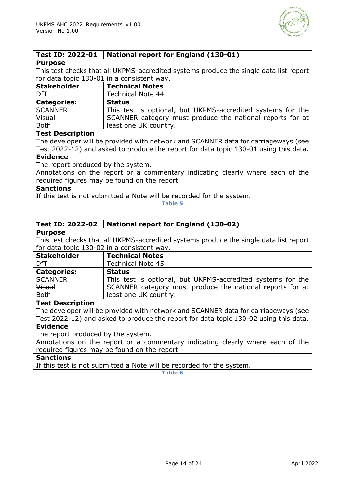

### <span id="page-13-0"></span>**Test ID: 2022-01 National report for England (130-01)**

#### **Purpose**

This test checks that all UKPMS-accredited systems produce the single data list report for data topic 130-01 in a consistent way.

| <b>Stakeholder</b> | <b>Technical Notes</b>                                      |
|--------------------|-------------------------------------------------------------|
| DfT                | <b>Technical Note 44</b>                                    |
| <b>Categories:</b> | <b>Status</b>                                               |
| <b>SCANNER</b>     | This test is optional, but UKPMS-accredited systems for the |
| <b>Visual</b>      | SCANNER category must produce the national reports for at   |
| <b>Both</b>        | least one UK country.                                       |

#### **Test Description**

The developer will be provided with network and SCANNER data for carriageways (see Test 2022-12) and asked to produce the report for data topic 130-01 using this data.

#### **Evidence**

The report produced by the system.

Annotations on the report or a commentary indicating clearly where each of the required figures may be found on the report.

#### **Sanctions**

<span id="page-13-2"></span>If this test is not submitted a Note will be recorded for the system.

**Table 5**

#### <span id="page-13-1"></span>**Test ID: 2022-02 National report for England (130-02)**

#### **Purpose**

This test checks that all UKPMS-accredited systems produce the single data list report for data topic 130-02 in a consistent way.

| <b>Stakeholder</b> | <b>Technical Notes</b>                                      |
|--------------------|-------------------------------------------------------------|
| DfT                | <b>Technical Note 45</b>                                    |
| <b>Categories:</b> | <b>Status</b>                                               |
| <b>SCANNER</b>     | This test is optional, but UKPMS-accredited systems for the |
| <b>Visual</b>      | SCANNER category must produce the national reports for at   |
| <b>Both</b>        | least one UK country.                                       |

#### **Test Description**

The developer will be provided with network and SCANNER data for carriageways (see Test 2022-12) and asked to produce the report for data topic 130-02 using this data.

### **Evidence**

The report produced by the system.

Annotations on the report or a commentary indicating clearly where each of the required figures may be found on the report.

### **Sanctions**

If this test is not submitted a Note will be recorded for the system.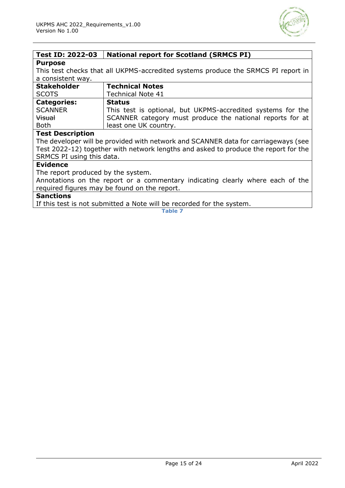

## <span id="page-14-0"></span>**Test ID: 2022-03 National report for Scotland (SRMCS PI)**

#### **Purpose**

This test checks that all UKPMS-accredited systems produce the SRMCS PI report in a consistent way.

| <b>Stakeholder</b> | <b>Technical Notes</b>                                      |
|--------------------|-------------------------------------------------------------|
| <b>SCOTS</b>       | <b>Technical Note 41</b>                                    |
| <b>Categories:</b> | <b>Status</b>                                               |
| <b>SCANNER</b>     | This test is optional, but UKPMS-accredited systems for the |
| <b>Visual</b>      | SCANNER category must produce the national reports for at   |
| <b>Both</b>        | least one UK country.                                       |

#### **Test Description**

The developer will be provided with network and SCANNER data for carriageways (see Test 2022-12) together with network lengths and asked to produce the report for the SRMCS PI using this data.

#### **Evidence**

The report produced by the system.

Annotations on the report or a commentary indicating clearly where each of the required figures may be found on the report.

#### **Sanctions**

If this test is not submitted a Note will be recorded for the system.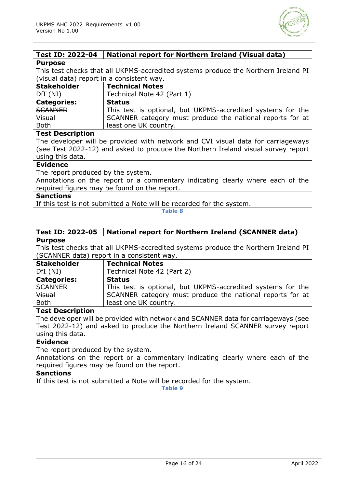

#### <span id="page-15-0"></span>**Test ID: 2022-04 National report for Northern Ireland (Visual data) Purpose**

This test checks that all UKPMS-accredited systems produce the Northern Ireland PI (visual data) report in a consistent way.

| <b>Stakeholder</b> | <b>Technical Notes</b>                                      |
|--------------------|-------------------------------------------------------------|
| DfI(NI)            | Technical Note 42 (Part 1)                                  |
| <b>Categories:</b> | <b>Status</b>                                               |
| SCANNER            | This test is optional, but UKPMS-accredited systems for the |
| Visual             | SCANNER category must produce the national reports for at   |
| <b>Both</b>        | least one UK country.                                       |

#### **Test Description**

The developer will be provided with network and CVI visual data for carriageways (see Test 2022-12) and asked to produce the Northern Ireland visual survey report using this data.

#### **Evidence**

The report produced by the system.

Annotations on the report or a commentary indicating clearly where each of the required figures may be found on the report.

#### **Sanctions**

If this test is not submitted a Note will be recorded for the system.

#### **Table 8**

#### <span id="page-15-1"></span>**Test ID: 2022-05 National report for Northern Ireland (SCANNER data) Purpose**

This test checks that all UKPMS-accredited systems produce the Northern Ireland PI (SCANNER data) report in a consistent way.

| <b>Stakeholder</b> | <b>Technical Notes</b>                                      |
|--------------------|-------------------------------------------------------------|
| DfI(NI)            | Technical Note 42 (Part 2)                                  |
| <b>Categories:</b> | <b>Status</b>                                               |
| <b>SCANNER</b>     | This test is optional, but UKPMS-accredited systems for the |
| Visual             | SCANNER category must produce the national reports for at   |
| <b>Both</b>        | least one UK country.                                       |

#### **Test Description**

The developer will be provided with network and SCANNER data for carriageways (see Test 2022-12) and asked to produce the Northern Ireland SCANNER survey report using this data.

#### **Evidence**

The report produced by the system.

Annotations on the report or a commentary indicating clearly where each of the required figures may be found on the report.

#### **Sanctions**

If this test is not submitted a Note will be recorded for the system.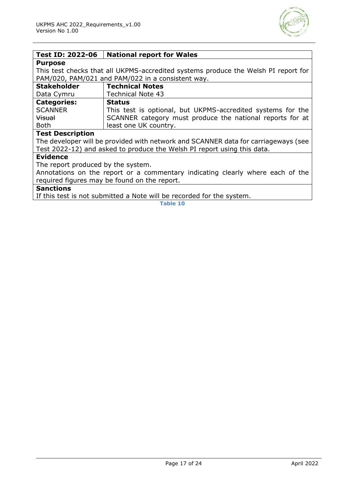

#### <span id="page-16-0"></span>**Test ID: 2022-06 National report for Wales**

#### **Purpose**

This test checks that all UKPMS-accredited systems produce the Welsh PI report for PAM/020, PAM/021 and PAM/022 in a consistent way.

| <b>Stakeholder</b> | <b>Technical Notes</b>                                      |
|--------------------|-------------------------------------------------------------|
| Data Cymru         | <b>Technical Note 43</b>                                    |
| <b>Categories:</b> | <b>Status</b>                                               |
| <b>SCANNER</b>     | This test is optional, but UKPMS-accredited systems for the |
| <b>Visual</b>      | SCANNER category must produce the national reports for at   |
| <b>Both</b>        | least one UK country.                                       |

#### **Test Description**

The developer will be provided with network and SCANNER data for carriageways (see Test 2022-12) and asked to produce the Welsh PI report using this data.

#### **Evidence**

The report produced by the system.

Annotations on the report or a commentary indicating clearly where each of the required figures may be found on the report.

### **Sanctions**

If this test is not submitted a Note will be recorded for the system.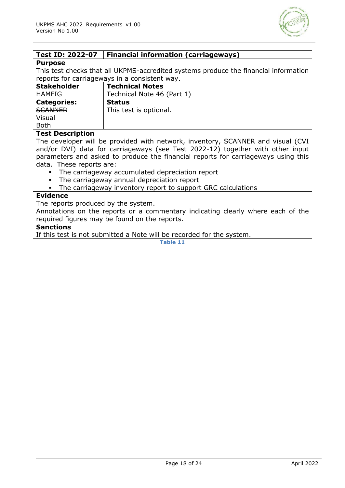

<span id="page-17-0"></span>

| Test ID: 2022-07                              | <b>Financial information (carriageways)</b>                                          |
|-----------------------------------------------|--------------------------------------------------------------------------------------|
| <b>Purpose</b>                                |                                                                                      |
|                                               | This test checks that all UKPMS-accredited systems produce the financial information |
| reports for carriageways in a consistent way. |                                                                                      |
| <b>Stakeholder</b>                            | <b>Technical Notes</b>                                                               |
| <b>HAMFIG</b>                                 | Technical Note 46 (Part 1)                                                           |
| <b>Categories:</b>                            | <b>Status</b>                                                                        |
| <b>SCANNER</b>                                | This test is optional.                                                               |
| <b>Visual</b>                                 |                                                                                      |
| <b>Both</b>                                   |                                                                                      |
| <b>Test Description</b>                       |                                                                                      |

The developer will be provided with network, inventory, SCANNER and visual (CVI and/or DVI) data for carriageways (see Test 2022-12) together with other input parameters and asked to produce the financial reports for carriageways using this data. These reports are:

- The carriageway accumulated depreciation report
- The carriageway annual depreciation report
- The carriageway inventory report to support GRC calculations

#### **Evidence**

The reports produced by the system.

Annotations on the reports or a commentary indicating clearly where each of the required figures may be found on the reports.

#### **Sanctions**

If this test is not submitted a Note will be recorded for the system.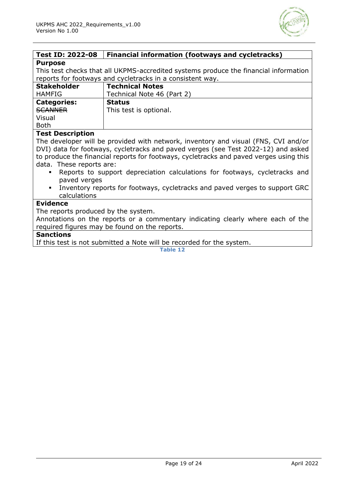

<span id="page-18-0"></span>

| <b>Test ID: 2022-08</b>                                                                       | <b>Financial information (footways and cycletracks)</b>                                |  |
|-----------------------------------------------------------------------------------------------|----------------------------------------------------------------------------------------|--|
| <b>Purpose</b>                                                                                |                                                                                        |  |
| This test checks that all UKPMS-accredited systems produce the financial information          |                                                                                        |  |
| reports for footways and cycletracks in a consistent way.                                     |                                                                                        |  |
| <b>Stakeholder</b>                                                                            | <b>Technical Notes</b>                                                                 |  |
| <b>HAMFIG</b>                                                                                 | Technical Note 46 (Part 2)                                                             |  |
| <b>Categories:</b>                                                                            | <b>Status</b>                                                                          |  |
| <b>SCANNER</b>                                                                                | This test is optional.                                                                 |  |
| Visual                                                                                        |                                                                                        |  |
| <b>Both</b>                                                                                   |                                                                                        |  |
| <b>Test Description</b>                                                                       |                                                                                        |  |
|                                                                                               | The developer will be provided with network, inventory and visual (FNS, CVI and/or     |  |
| DVI) data for footways, cycletracks and paved verges (see Test 2022-12) and asked             |                                                                                        |  |
|                                                                                               | to produce the financial reports for footways, cycletracks and paved verges using this |  |
| data. These reports are:                                                                      |                                                                                        |  |
| Reports to support depreciation calculations for footways, cycletracks and                    |                                                                                        |  |
| paved verges                                                                                  |                                                                                        |  |
| Inventory reports for footways, cycletracks and paved verges to support GRC<br>$\blacksquare$ |                                                                                        |  |
| calculations                                                                                  |                                                                                        |  |
| <b>Evidence</b>                                                                               |                                                                                        |  |
| The reports produced by the system.                                                           |                                                                                        |  |
| Annotations on the reports or a commentary indicating clearly where each of the               |                                                                                        |  |
| required figures may be found on the reports.                                                 |                                                                                        |  |
| <b>Sanctions</b><br>TC this test is not submitted a Nets will be resembed for the symbos      |                                                                                        |  |
|                                                                                               |                                                                                        |  |

If this test is not submitted a Note will be recorded for the system.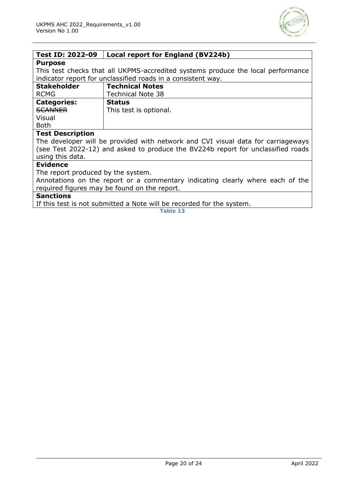

<span id="page-19-0"></span>

| <b>Test ID: 2022-09</b>                                                          | Local report for England (BV224b) |  |
|----------------------------------------------------------------------------------|-----------------------------------|--|
| <b>Purpose</b>                                                                   |                                   |  |
| This test checks that all UKPMS-accredited systems produce the local performance |                                   |  |
| indicator report for unclassified roads in a consistent way.                     |                                   |  |
| <b>Stakeholder</b>                                                               | <b>Technical Notes</b>            |  |
| <b>RCMG</b>                                                                      | <b>Technical Note 38</b>          |  |
| <b>Categories:</b>                                                               | <b>Status</b>                     |  |
| <b>SCANNER</b>                                                                   | This test is optional.            |  |
| Visual                                                                           |                                   |  |
| <b>Both</b>                                                                      |                                   |  |
| <b>Test Description</b>                                                          |                                   |  |
| The developer will be provided with network and CVI visual data for carriageways |                                   |  |
| (see Test 2022-12) and asked to produce the BV224b report for unclassified roads |                                   |  |
| using this data.                                                                 |                                   |  |
| <b>Evidence</b>                                                                  |                                   |  |
| The report produced by the system.                                               |                                   |  |
| Annotations on the report or a commentary indicating clearly where each of the   |                                   |  |
| required figures may be found on the report.                                     |                                   |  |

#### **Sanctions**

If this test is not submitted a Note will be recorded for the system.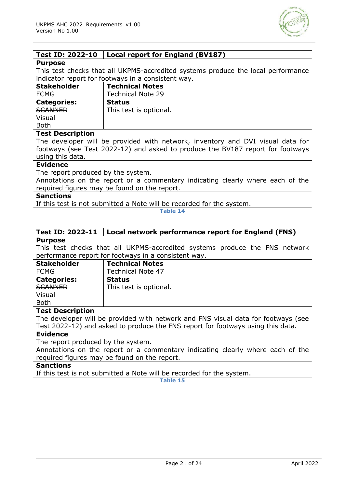

<span id="page-20-0"></span>

| <b>Test ID: 2022-10</b>                                                          | Local report for England (BV187) |
|----------------------------------------------------------------------------------|----------------------------------|
| <b>Purpose</b>                                                                   |                                  |
| This test checks that all UKPMS-accredited systems produce the local performance |                                  |
| indicator report for footways in a consistent way.                               |                                  |
| <b>Stakeholder</b>                                                               | <b>Technical Notes</b>           |
| <b>FCMG</b>                                                                      | <b>Technical Note 29</b>         |
| <b>Categories:</b>                                                               | <b>Status</b>                    |
| <b>SCANNER</b>                                                                   | This test is optional.           |
| Visual                                                                           |                                  |
| <b>Both</b>                                                                      |                                  |
| <b>Test Description</b>                                                          |                                  |
| The developer will be provided with network, inventory and DVI visual data for   |                                  |
| footways (see Test 2022-12) and asked to produce the BV187 report for footways   |                                  |
| using this data.                                                                 |                                  |
| <b>Evidence</b>                                                                  |                                  |
| The report produced by the system.                                               |                                  |
| Annotations on the report or a commentary indicating clearly where each of the   |                                  |
| required figures may be found on the report.                                     |                                  |
| Canctione                                                                        |                                  |

#### **Sanctions**

If this test is not submitted a Note will be recorded for the system.

**Table 14**

#### <span id="page-20-1"></span>**Test ID: 2022-11 Local network performance report for England (FNS) Purpose**

This test checks that all UKPMS-accredited systems produce the FNS network performance report for footways in a consistent way.

| <b>Stakeholder</b> | <b>Technical Notes</b>   |
|--------------------|--------------------------|
| <b>FCMG</b>        | <b>Technical Note 47</b> |
| <b>Categories:</b> | <b>Status</b>            |
| SCANNER            | This test is optional.   |
| Visual             |                          |
| <b>Both</b>        |                          |

#### **Test Description**

The developer will be provided with network and FNS visual data for footways (see Test 2022-12) and asked to produce the FNS report for footways using this data.

#### **Evidence**

The report produced by the system.

Annotations on the report or a commentary indicating clearly where each of the required figures may be found on the report.

#### **Sanctions**

If this test is not submitted a Note will be recorded for the system.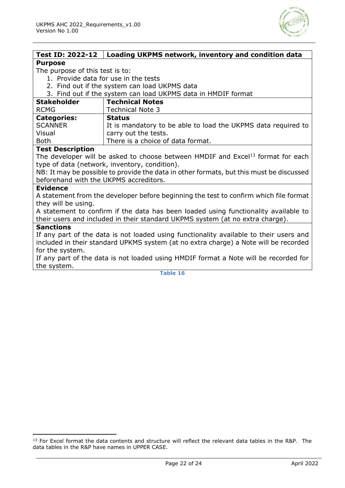

<span id="page-21-0"></span>

| <b>Test ID: 2022-12</b>                                                                 | Loading UKPMS network, inventory and condition data                                         |  |
|-----------------------------------------------------------------------------------------|---------------------------------------------------------------------------------------------|--|
| <b>Purpose</b>                                                                          |                                                                                             |  |
| The purpose of this test is to:                                                         |                                                                                             |  |
| 1. Provide data for use in the tests                                                    |                                                                                             |  |
| 2. Find out if the system can load UKPMS data                                           |                                                                                             |  |
| 3. Find out if the system can load UKPMS data in HMDIF format                           |                                                                                             |  |
| <b>Stakeholder</b>                                                                      | <b>Technical Notes</b>                                                                      |  |
| <b>RCMG</b>                                                                             | <b>Technical Note 3</b>                                                                     |  |
| <b>Categories:</b>                                                                      | <b>Status</b>                                                                               |  |
| <b>SCANNER</b>                                                                          | It is mandatory to be able to load the UKPMS data required to                               |  |
| Visual                                                                                  | carry out the tests.                                                                        |  |
| <b>Both</b>                                                                             | There is a choice of data format.                                                           |  |
| <b>Test Description</b>                                                                 |                                                                                             |  |
|                                                                                         | The developer will be asked to choose between HMDIF and Excel <sup>13</sup> format for each |  |
|                                                                                         | type of data (network, inventory, condition).                                               |  |
| NB: It may be possible to provide the data in other formats, but this must be discussed |                                                                                             |  |
| beforehand with the UKPMS accreditors.                                                  |                                                                                             |  |
| <b>Evidence</b>                                                                         |                                                                                             |  |
| A statement from the developer before beginning the test to confirm which file format   |                                                                                             |  |
| they will be using.                                                                     |                                                                                             |  |
| A statement to confirm if the data has been loaded using functionality available to     |                                                                                             |  |
| their users and included in their standard UKPMS system (at no extra charge).           |                                                                                             |  |
| <b>Sanctions</b>                                                                        |                                                                                             |  |
| If any part of the data is not loaded using functionality available to their users and  |                                                                                             |  |
| included in their standard UPKMS system (at no extra charge) a Note will be recorded    |                                                                                             |  |
| for the system.                                                                         |                                                                                             |  |
| If any part of the data is not loaded using HMDIF format a Note will be recorded for    |                                                                                             |  |
| the system.                                                                             |                                                                                             |  |

<sup>&</sup>lt;sup>13</sup> For Excel format the data contents and structure will reflect the relevant data tables in the R&P. The data tables in the R&P have names in UPPER CASE.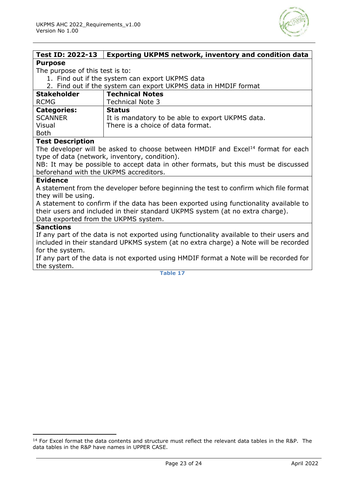

<span id="page-22-0"></span>

| <b>Test ID: 2022-13</b>                                                                  | <b>Exporting UKPMS network, inventory and condition data</b>                                |  |
|------------------------------------------------------------------------------------------|---------------------------------------------------------------------------------------------|--|
| <b>Purpose</b>                                                                           |                                                                                             |  |
| The purpose of this test is to:                                                          |                                                                                             |  |
| 1. Find out if the system can export UKPMS data                                          |                                                                                             |  |
| 2. Find out if the system can export UKPMS data in HMDIF format                          |                                                                                             |  |
| <b>Stakeholder</b>                                                                       | <b>Technical Notes</b>                                                                      |  |
| <b>RCMG</b>                                                                              | <b>Technical Note 3</b>                                                                     |  |
| <b>Categories:</b>                                                                       | <b>Status</b>                                                                               |  |
| <b>SCANNER</b>                                                                           | It is mandatory to be able to export UKPMS data.                                            |  |
| Visual                                                                                   | There is a choice of data format.                                                           |  |
| <b>Both</b>                                                                              |                                                                                             |  |
| <b>Test Description</b>                                                                  |                                                                                             |  |
|                                                                                          | The developer will be asked to choose between HMDIF and Excel <sup>14</sup> format for each |  |
|                                                                                          | type of data (network, inventory, condition).                                               |  |
| NB: It may be possible to accept data in other formats, but this must be discussed       |                                                                                             |  |
| beforehand with the UKPMS accreditors.                                                   |                                                                                             |  |
| <b>Evidence</b>                                                                          |                                                                                             |  |
|                                                                                          | A statement from the developer before beginning the test to confirm which file format       |  |
| they will be using.                                                                      |                                                                                             |  |
|                                                                                          | A statement to confirm if the data has been exported using functionality available to       |  |
| their users and included in their standard UKPMS system (at no extra charge).            |                                                                                             |  |
| Data exported from the UKPMS system.                                                     |                                                                                             |  |
| <b>Sanctions</b>                                                                         |                                                                                             |  |
| If any part of the data is not exported using functionality available to their users and |                                                                                             |  |
| included in their standard UPKMS system (at no extra charge) a Note will be recorded     |                                                                                             |  |
| for the system.                                                                          |                                                                                             |  |
| If any part of the data is not exported using HMDIF format a Note will be recorded for   |                                                                                             |  |
| the system.                                                                              |                                                                                             |  |

<span id="page-22-1"></span><sup>&</sup>lt;sup>14</sup> For Excel format the data contents and structure must reflect the relevant data tables in the R&P. The data tables in the R&P have names in UPPER CASE.